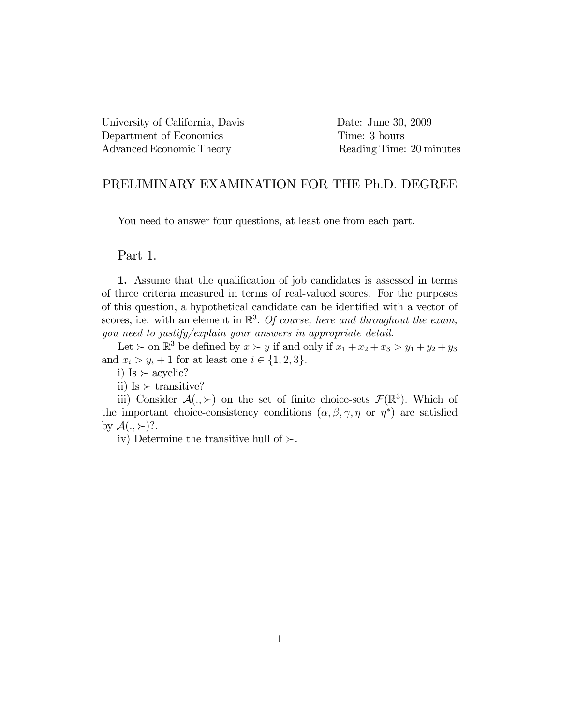University of California, Davis Date: June 30, 2009 Department of Economics Time: 3 hours Advanced Economic Theory Reading Time: 20 minutes

## PRELIMINARY EXAMINATION FOR THE Ph.D. DEGREE

You need to answer four questions, at least one from each part.

### Part 1.

1. Assume that the qualification of job candidates is assessed in terms of three criteria measured in terms of real-valued scores. For the purposes of this question, a hypothetical candidate can be identified with a vector of scores, i.e. with an element in  $\mathbb{R}^3$ . Of course, here and throughout the exam, you need to justify/explain your answers in appropriate detail.

Let  $\succ$  on  $\mathbb{R}^3$  be defined by  $x \succ y$  if and only if  $x_1 + x_2 + x_3 > y_1 + y_2 + y_3$ and  $x_i > y_i + 1$  for at least one  $i \in \{1, 2, 3\}.$ 

i) Is  $\succ$  acyclic?

ii) Is  $\succ$  transitive?

iii) Consider  $\mathcal{A}(.,\succ)$  on the set of finite choice-sets  $\mathcal{F}(\mathbb{R}^3)$ . Which of the important choice-consistency conditions  $(\alpha, \beta, \gamma, \eta \text{ or } \eta^*)$  are satisfied by  $\mathcal{A}(.,\succ)$ ?.

iv) Determine the transitive hull of  $\succ$ .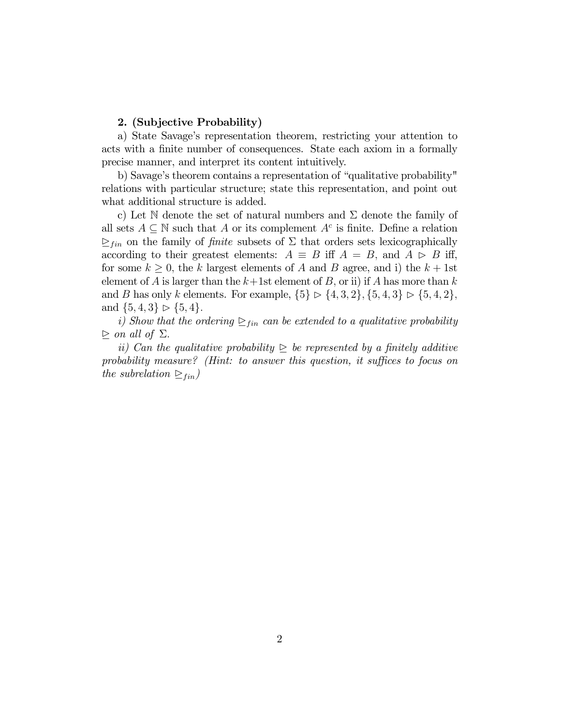#### 2. (Subjective Probability)

a) State Savage's representation theorem, restricting your attention to acts with a finite number of consequences. State each axiom in a formally precise manner, and interpret its content intuitively.

b) Savage's theorem contains a representation of "qualitative probability" relations with particular structure; state this representation, and point out what additional structure is added.

c) Let N denote the set of natural numbers and  $\Sigma$  denote the family of all sets  $A \subseteq \mathbb{N}$  such that A or its complement  $A^c$  is finite. Define a relation  $\sum_{fin}$  on the family of *finite* subsets of  $\Sigma$  that orders sets lexicographically according to their greatest elements:  $A \equiv B$  iff  $A = B$ , and  $A \geq B$  iff, for some  $k \geq 0$ , the k largest elements of A and B agree, and i) the  $k + 1$ st element of A is larger than the  $k+1$ st element of B, or ii) if A has more than k and B has only k elements. For example,  $\{5\} \triangleright \{4, 3, 2\}, \{5, 4, 3\} \triangleright \{5, 4, 2\},\$ and  $\{5, 4, 3\} \triangleright \{5, 4\}.$ 

i) Show that the ordering  $\sum_{fin}$  can be extended to a qualitative probability  $\triangleright$  on all of  $\Sigma$ .

ii) Can the qualitative probability  $\geq$  be represented by a finitely additive probability measure? (Hint: to answer this question, it suffices to focus on the subrelation  $\sum_{fin}$ )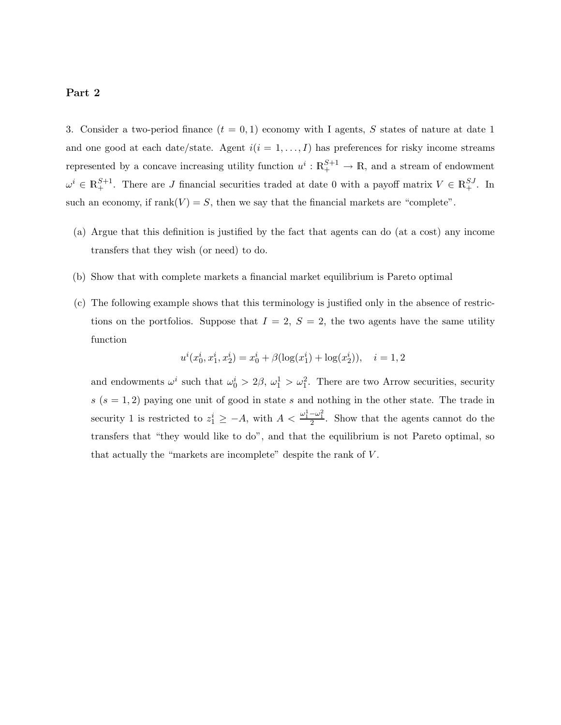### Part 2

3. Consider a two-period finance  $(t = 0, 1)$  economy with I agents, S states of nature at date 1 and one good at each date/state. Agent  $i(i = 1, ..., I)$  has preferences for risky income streams represented by a concave increasing utility function  $u^i : \mathbb{R}^{S+1}_+ \to \mathbb{R}$ , and a stream of endowment  $\omega^i \in \mathbb{R}^{S+1}_+$ . There are J financial securities traded at date 0 with a payoff matrix  $V \in \mathbb{R}^{SJ}_+$ . In such an economy, if  $rank(V) = S$ , then we say that the financial markets are "complete".

- (a) Argue that this definition is justified by the fact that agents can do (at a cost) any income transfers that they wish (or need) to do.
- (b) Show that with complete markets a financial market equilibrium is Pareto optimal
- (c) The following example shows that this terminology is justified only in the absence of restrictions on the portfolios. Suppose that  $I = 2$ ,  $S = 2$ , the two agents have the same utility function

$$
u^{i}(x_0^{i}, x_1^{i}, x_2^{i}) = x_0^{i} + \beta(\log(x_1^{i}) + \log(x_2^{i})), \quad i = 1, 2
$$

and endowments  $\omega^i$  such that  $\omega_0^i > 2\beta$ ,  $\omega_1^1 > \omega_1^2$ . There are two Arrow securities, security  $s(s = 1, 2)$  paying one unit of good in state s and nothing in the other state. The trade in security 1 is restricted to  $z_1^i \geq -A$ , with  $A < \frac{\omega_1^1 - \omega_1^2}{2}$ . Show that the agents cannot do the transfers that "they would like to do", and that the equilibrium is not Pareto optimal, so that actually the "markets are incomplete" despite the rank of V .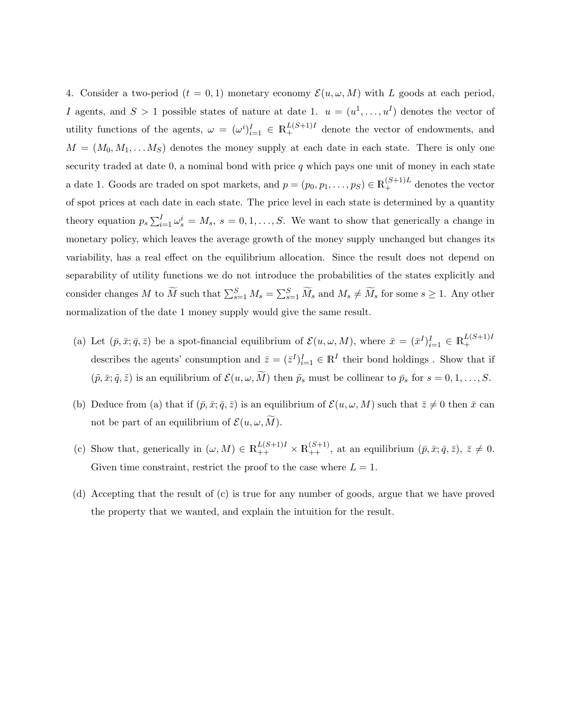4. Consider a two-period  $(t = 0, 1)$  monetary economy  $\mathcal{E}(u, \omega, M)$  with L goods at each period, I agents, and  $S > 1$  possible states of nature at date 1.  $u = (u^1, \ldots, u^I)$  denotes the vector of utility functions of the agents,  $\omega = (\omega^i)_{i=1}^I \in \mathbb{R}^{L(S+1)I}_+$  denote the vector of endowments, and  $M = (M_0, M_1, \ldots, M_S)$  denotes the money supply at each date in each state. There is only one security traded at date  $0$ , a nominal bond with price  $q$  which pays one unit of money in each state a date 1. Goods are traded on spot markets, and  $p = (p_0, p_1, \ldots, p_S) \in \mathbb{R}^{(S+1)L}_+$  denotes the vector of spot prices at each date in each state. The price level in each state is determined by a quantity theory equation  $p_s \sum_{i=1}^I \omega_s^i = M_s$ ,  $s = 0, 1, ..., S$ . We want to show that generically a change in monetary policy, which leaves the average growth of the money supply unchanged but changes its variability, has a real effect on the equilibrium allocation. Since the result does not depend on separability of utility functions we do not introduce the probabilities of the states explicitly and consider changes M to  $\widetilde{M}$  such that  $\sum_{s=1}^{S} M_s = \sum_{s=1}^{S} \widetilde{M}_s$  and  $M_s \neq \widetilde{M}_s$  for some  $s \geq 1$ . Any other normalization of the date 1 money supply would give the same result.

- (a) Let  $(\bar{p}, \bar{x}; \bar{q}, \bar{z})$  be a spot-financial equilibrium of  $\mathcal{E}(u, \omega, M)$ , where  $\bar{x} = (\bar{x}^I)_{i=1}^I \in \mathbb{R}_+^{L(S+1)I}$ + describes the agents' consumption and  $\bar{z} = (\bar{z}^I)^I_{i=1} \in \mathbb{R}^I$  their bond holdings. Show that if  $(\tilde{p}, \bar{x}; \tilde{q}, \tilde{z})$  is an equilibrium of  $\mathcal{E}(u, \omega, \tilde{M})$  then  $\tilde{p}_s$  must be collinear to  $\bar{p}_s$  for  $s = 0, 1, \ldots, S$ .
- (b) Deduce from (a) that if  $(\bar{p}, \bar{x}; \bar{q}, \bar{z})$  is an equilibrium of  $\mathcal{E}(u, \omega, M)$  such that  $\bar{z} \neq 0$  then  $\bar{x}$  can not be part of an equilibrium of  $\mathcal{E}(u, \omega, \tilde{M})$ .
- (c) Show that, generically in  $(\omega, M) \in \mathbb{R}^{L(S+1)I}_{++} \times \mathbb{R}^{(S+1)}_{++}$ , at an equilibrium  $(\bar{p}, \bar{x}; \bar{q}, \bar{z}), \bar{z} \neq 0$ . Given time constraint, restrict the proof to the case where  $L = 1$ .
- (d) Accepting that the result of (c) is true for any number of goods, argue that we have proved the property that we wanted, and explain the intuition for the result.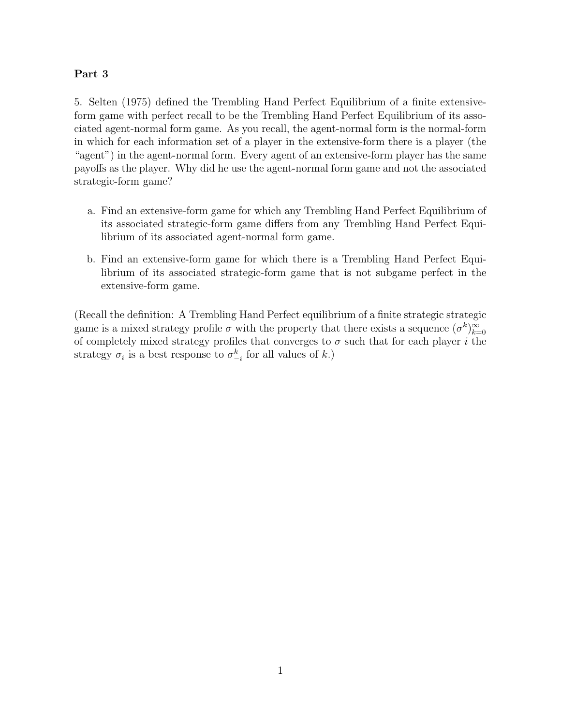# Part 3

5. Selten (1975) defined the Trembling Hand Perfect Equilibrium of a finite extensiveform game with perfect recall to be the Trembling Hand Perfect Equilibrium of its associated agent-normal form game. As you recall, the agent-normal form is the normal-form in which for each information set of a player in the extensive-form there is a player (the "agent") in the agent-normal form. Every agent of an extensive-form player has the same payoffs as the player. Why did he use the agent-normal form game and not the associated strategic-form game?

- a. Find an extensive-form game for which any Trembling Hand Perfect Equilibrium of its associated strategic-form game differs from any Trembling Hand Perfect Equilibrium of its associated agent-normal form game.
- b. Find an extensive-form game for which there is a Trembling Hand Perfect Equilibrium of its associated strategic-form game that is not subgame perfect in the extensive-form game.

(Recall the definition: A Trembling Hand Perfect equilibrium of a finite strategic strategic game is a mixed strategy profile  $\sigma$  with the property that there exists a sequence  $(\sigma^k)_{k=0}^{\infty}$ of completely mixed strategy profiles that converges to  $\sigma$  such that for each player i the strategy  $\sigma_i$  is a best response to  $\sigma_{-i}^k$  for all values of  $k$ .)